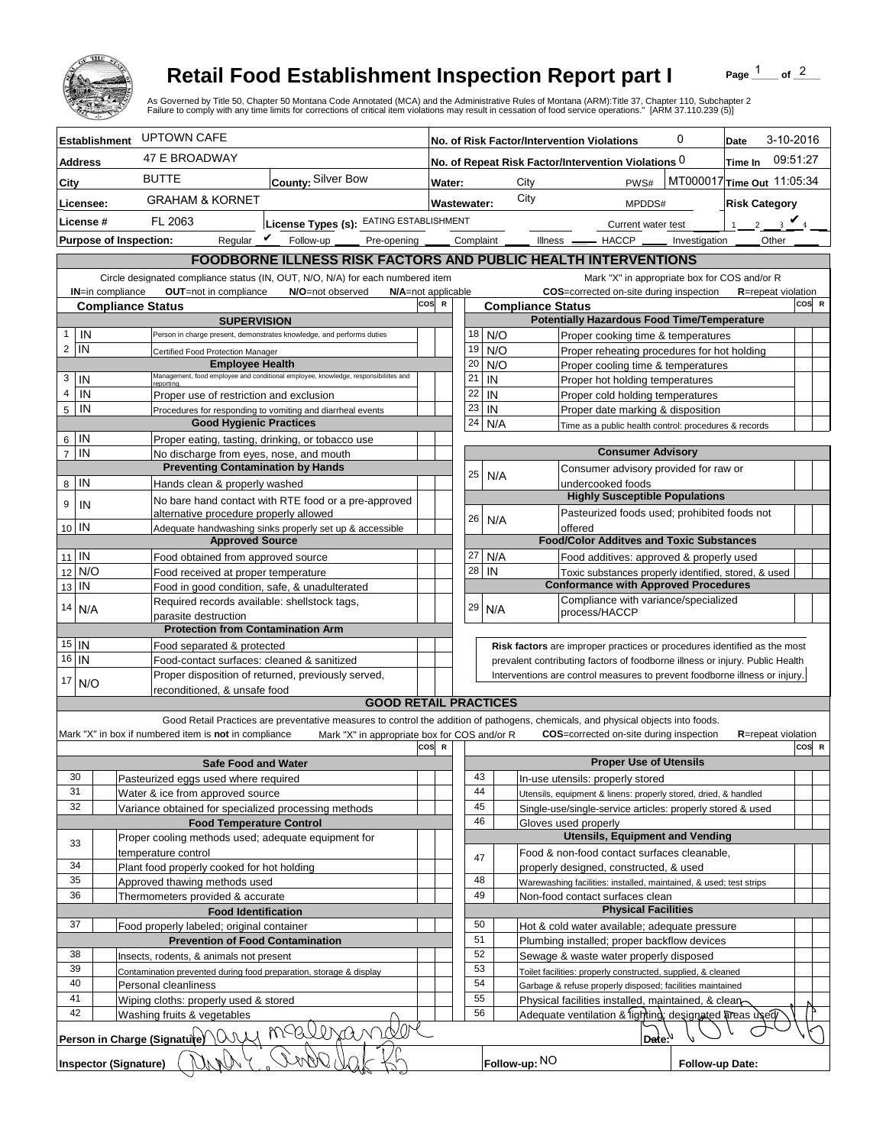

## **Retail Food Establishment Inspection Report part I**

Page  $\frac{1}{1}$  of  $\frac{2}{1}$ 

|                                                                |                                               |                                                                                                       | <b>Retail Food Establishment Inspection Report part I</b><br>As Governed by Title 50, Chapter 50 Montana Code Annotated (MCA) and the Administrative Rules of Montana (ARM):Title 37, Chapter 110, Subchapter 2<br>Failure to comply with any time limits for corrections of critical item violations may result in cessation of food service operations." [ARM 37.110.239 (5)] |                       |                                                                |                                                                   |           |                                                                              |           |                      |                            |                                  |                                                                     |                                                                                                                               | Page         |                            | of $^2$ |  |
|----------------------------------------------------------------|-----------------------------------------------|-------------------------------------------------------------------------------------------------------|---------------------------------------------------------------------------------------------------------------------------------------------------------------------------------------------------------------------------------------------------------------------------------------------------------------------------------------------------------------------------------|-----------------------|----------------------------------------------------------------|-------------------------------------------------------------------|-----------|------------------------------------------------------------------------------|-----------|----------------------|----------------------------|----------------------------------|---------------------------------------------------------------------|-------------------------------------------------------------------------------------------------------------------------------|--------------|----------------------------|---------|--|
|                                                                | <b>Establishment</b>                          | <b>UPTOWN CAFE</b>                                                                                    |                                                                                                                                                                                                                                                                                                                                                                                 |                       | 0<br>No. of Risk Factor/Intervention Violations                |                                                                   |           |                                                                              |           |                      |                            |                                  | 3-10-2016<br>Date                                                   |                                                                                                                               |              |                            |         |  |
| <b>Address</b>                                                 |                                               | 47 E BROADWAY                                                                                         |                                                                                                                                                                                                                                                                                                                                                                                 |                       | No. of Repeat Risk Factor/Intervention Violations 0<br>Time In |                                                                   |           |                                                                              |           |                      |                            |                                  | 09:51:27                                                            |                                                                                                                               |              |                            |         |  |
| City                                                           |                                               | <b>BUTTE</b>                                                                                          | County: Silver Bow                                                                                                                                                                                                                                                                                                                                                              |                       |                                                                |                                                                   |           |                                                                              |           |                      |                            |                                  |                                                                     |                                                                                                                               |              |                            |         |  |
|                                                                | <b>GRAHAM &amp; KORNET</b>                    |                                                                                                       |                                                                                                                                                                                                                                                                                                                                                                                 |                       | MT000017 Time Out 11:05:34<br>City<br>PWS#<br>Water:<br>City   |                                                                   |           |                                                                              |           |                      |                            |                                  |                                                                     |                                                                                                                               |              |                            |         |  |
| Licensee:                                                      |                                               |                                                                                                       |                                                                                                                                                                                                                                                                                                                                                                                 | Wastewater:<br>MPDDS# |                                                                |                                                                   |           |                                                                              |           | <b>Risk Category</b> |                            |                                  |                                                                     |                                                                                                                               |              |                            |         |  |
| License #                                                      |                                               | License Types (s): EATING ESTABLISHMENT<br>FL 2063                                                    |                                                                                                                                                                                                                                                                                                                                                                                 |                       |                                                                |                                                                   |           |                                                                              |           |                      | Current water test         |                                  |                                                                     |                                                                                                                               | 2 $\sqrt{4}$ |                            |         |  |
|                                                                | <b>Purpose of Inspection:</b>                 |                                                                                                       | Reqular $\triangledown$ Follow-up<br>Pre-opening _                                                                                                                                                                                                                                                                                                                              |                       |                                                                |                                                                   | Complaint |                                                                              | Illness — |                      |                            | $-$ HACCP $\_\_$                 |                                                                     | Investigation                                                                                                                 |              | Other                      |         |  |
|                                                                |                                               |                                                                                                       | <b>FOODBORNE ILLNESS RISK FACTORS AND PUBLIC HEALTH INTERVENTIONS</b>                                                                                                                                                                                                                                                                                                           |                       |                                                                |                                                                   |           |                                                                              |           |                      |                            |                                  |                                                                     |                                                                                                                               |              |                            |         |  |
|                                                                |                                               | OUT=not in compliance                                                                                 | Circle designated compliance status (IN, OUT, N/O, N/A) for each numbered item                                                                                                                                                                                                                                                                                                  |                       |                                                                |                                                                   |           |                                                                              |           |                      |                            |                                  |                                                                     | Mark "X" in appropriate box for COS and/or R                                                                                  |              |                            |         |  |
|                                                                | <b>IN=in compliance</b>                       | <b>Compliance Status</b>                                                                              | N/O=not observed<br>N/A=not applicable                                                                                                                                                                                                                                                                                                                                          | cos                   | $\mathbb{R}$                                                   |                                                                   |           | <b>Compliance Status</b>                                                     |           |                      |                            |                                  | COS=corrected on-site during inspection                             |                                                                                                                               |              | <b>R</b> =repeat violation | COS R   |  |
| <b>SUPERVISION</b>                                             |                                               |                                                                                                       |                                                                                                                                                                                                                                                                                                                                                                                 |                       |                                                                |                                                                   |           |                                                                              |           |                      |                            |                                  |                                                                     | <b>Potentially Hazardous Food Time/Temperature</b>                                                                            |              |                            |         |  |
| IN<br>$\mathbf{1}$                                             |                                               |                                                                                                       | Person in charge present, demonstrates knowledge, and performs duties                                                                                                                                                                                                                                                                                                           |                       |                                                                | 18                                                                | N/O       |                                                                              |           |                      |                            |                                  |                                                                     | Proper cooking time & temperatures                                                                                            |              |                            |         |  |
| $\overline{c}$<br>IN                                           |                                               | Certified Food Protection Manager<br><b>Employee Health</b>                                           |                                                                                                                                                                                                                                                                                                                                                                                 |                       |                                                                | 19                                                                | N/O       |                                                                              |           |                      |                            |                                  |                                                                     | Proper reheating procedures for hot holding                                                                                   |              |                            |         |  |
| 3<br>IN                                                        |                                               |                                                                                                       | Management, food employee and conditional employee, knowledge, responsibiliites and                                                                                                                                                                                                                                                                                             |                       |                                                                | 20<br>21                                                          | N/O<br>IN |                                                                              |           |                      |                            |                                  | Proper cooling time & temperatures                                  |                                                                                                                               |              |                            |         |  |
| $\overline{4}$<br>IN                                           |                                               | reportina.                                                                                            |                                                                                                                                                                                                                                                                                                                                                                                 |                       |                                                                | 22                                                                | IN        |                                                                              |           |                      |                            |                                  | Proper hot holding temperatures<br>Proper cold holding temperatures |                                                                                                                               |              |                            |         |  |
| 5<br>IN                                                        |                                               | Proper use of restriction and exclusion<br>Procedures for responding to vomiting and diarrheal events |                                                                                                                                                                                                                                                                                                                                                                                 |                       |                                                                | 23                                                                | IN        |                                                                              |           |                      |                            |                                  | Proper date marking & disposition                                   |                                                                                                                               |              |                            |         |  |
|                                                                |                                               | <b>Good Hygienic Practices</b>                                                                        |                                                                                                                                                                                                                                                                                                                                                                                 |                       |                                                                | 24                                                                | N/A       |                                                                              |           |                      |                            |                                  |                                                                     | Time as a public health control: procedures & records                                                                         |              |                            |         |  |
| IN<br>6                                                        |                                               | Proper eating, tasting, drinking, or tobacco use                                                      |                                                                                                                                                                                                                                                                                                                                                                                 |                       |                                                                |                                                                   |           |                                                                              |           |                      |                            |                                  |                                                                     |                                                                                                                               |              |                            |         |  |
| $\overline{7}$                                                 | IN<br>No discharge from eyes, nose, and mouth |                                                                                                       |                                                                                                                                                                                                                                                                                                                                                                                 |                       |                                                                | <b>Consumer Advisory</b><br>Consumer advisory provided for raw or |           |                                                                              |           |                      |                            |                                  |                                                                     |                                                                                                                               |              |                            |         |  |
| IN                                                             |                                               | <b>Preventing Contamination by Hands</b><br>Hands clean & properly washed                             |                                                                                                                                                                                                                                                                                                                                                                                 |                       |                                                                | 25                                                                | N/A       |                                                                              |           |                      | undercooked foods          |                                  |                                                                     |                                                                                                                               |              |                            |         |  |
| 8                                                              |                                               |                                                                                                       | No bare hand contact with RTE food or a pre-approved                                                                                                                                                                                                                                                                                                                            |                       |                                                                |                                                                   |           |                                                                              |           |                      |                            |                                  | <b>Highly Susceptible Populations</b>                               |                                                                                                                               |              |                            |         |  |
| 9<br>IN                                                        |                                               | alternative procedure properly allowed                                                                |                                                                                                                                                                                                                                                                                                                                                                                 |                       |                                                                |                                                                   |           |                                                                              |           |                      |                            |                                  |                                                                     | Pasteurized foods used; prohibited foods not                                                                                  |              |                            |         |  |
| 10 IN                                                          |                                               |                                                                                                       | Adequate handwashing sinks properly set up & accessible                                                                                                                                                                                                                                                                                                                         |                       |                                                                | 26                                                                | N/A       |                                                                              |           | offered              |                            |                                  |                                                                     |                                                                                                                               |              |                            |         |  |
|                                                                |                                               | <b>Approved Source</b>                                                                                |                                                                                                                                                                                                                                                                                                                                                                                 |                       |                                                                |                                                                   |           |                                                                              |           |                      |                            |                                  |                                                                     | <b>Food/Color Additves and Toxic Substances</b>                                                                               |              |                            |         |  |
| $11$ IN                                                        |                                               | Food obtained from approved source                                                                    |                                                                                                                                                                                                                                                                                                                                                                                 |                       |                                                                | 27                                                                | N/A       |                                                                              |           |                      |                            |                                  |                                                                     | Food additives: approved & properly used                                                                                      |              |                            |         |  |
| N/O<br>12<br>IN                                                |                                               | Food received at proper temperature                                                                   |                                                                                                                                                                                                                                                                                                                                                                                 |                       |                                                                | 28                                                                | IN        |                                                                              |           |                      |                            |                                  |                                                                     | Toxic substances properly identified, stored, & used<br><b>Conformance with Approved Procedures</b>                           |              |                            |         |  |
| 13                                                             |                                               | Food in good condition, safe, & unadulterated<br>Required records available: shellstock tags,         |                                                                                                                                                                                                                                                                                                                                                                                 |                       |                                                                |                                                                   |           |                                                                              |           |                      |                            |                                  |                                                                     | Compliance with variance/specialized                                                                                          |              |                            |         |  |
| 14<br>N/A                                                      |                                               | parasite destruction                                                                                  |                                                                                                                                                                                                                                                                                                                                                                                 |                       |                                                                | 29                                                                | N/A       |                                                                              |           |                      | process/HACCP              |                                  |                                                                     |                                                                                                                               |              |                            |         |  |
|                                                                |                                               | <b>Protection from Contamination Arm</b>                                                              |                                                                                                                                                                                                                                                                                                                                                                                 |                       |                                                                |                                                                   |           |                                                                              |           |                      |                            |                                  |                                                                     |                                                                                                                               |              |                            |         |  |
| $15$ IN                                                        |                                               |                                                                                                       | Food separated & protected                                                                                                                                                                                                                                                                                                                                                      |                       |                                                                |                                                                   |           | Risk factors are improper practices or procedures identified as the most     |           |                      |                            |                                  |                                                                     |                                                                                                                               |              |                            |         |  |
| $\overline{16}$ IN                                             |                                               |                                                                                                       | Food-contact surfaces: cleaned & sanitized                                                                                                                                                                                                                                                                                                                                      |                       |                                                                |                                                                   |           | prevalent contributing factors of foodborne illness or injury. Public Health |           |                      |                            |                                  |                                                                     |                                                                                                                               |              |                            |         |  |
| 17<br>N/O                                                      |                                               | reconditioned. & unsafe food                                                                          | Proper disposition of returned, previously served,                                                                                                                                                                                                                                                                                                                              |                       |                                                                |                                                                   |           | Interventions are control measures to prevent foodborne illness or injury.   |           |                      |                            |                                  |                                                                     |                                                                                                                               |              |                            |         |  |
|                                                                |                                               |                                                                                                       | <b>GOOD RETAIL PRACTICES</b>                                                                                                                                                                                                                                                                                                                                                    |                       |                                                                |                                                                   |           |                                                                              |           |                      |                            |                                  |                                                                     |                                                                                                                               |              |                            |         |  |
|                                                                |                                               |                                                                                                       | Good Retail Practices are preventative measures to control the addition of pathogens, chemicals, and physical objects into foods.                                                                                                                                                                                                                                               |                       |                                                                |                                                                   |           |                                                                              |           |                      |                            |                                  |                                                                     |                                                                                                                               |              |                            |         |  |
|                                                                |                                               | Mark "X" in box if numbered item is not in compliance                                                 | Mark "X" in appropriate box for COS and/or R                                                                                                                                                                                                                                                                                                                                    |                       |                                                                |                                                                   |           |                                                                              |           |                      |                            |                                  | <b>COS</b> =corrected on-site during inspection                     |                                                                                                                               |              | <b>R</b> =repeat violation |         |  |
|                                                                |                                               |                                                                                                       |                                                                                                                                                                                                                                                                                                                                                                                 | cos                   | $\mathbf R$                                                    |                                                                   |           |                                                                              |           |                      |                            |                                  |                                                                     |                                                                                                                               |              |                            | COS R   |  |
|                                                                |                                               | <b>Safe Food and Water</b>                                                                            |                                                                                                                                                                                                                                                                                                                                                                                 |                       |                                                                |                                                                   |           |                                                                              |           |                      |                            |                                  | <b>Proper Use of Utensils</b>                                       |                                                                                                                               |              |                            |         |  |
| 30<br>31                                                       |                                               | Pasteurized eggs used where required<br>Water & ice from approved source                              |                                                                                                                                                                                                                                                                                                                                                                                 |                       |                                                                | 43<br>44                                                          |           |                                                                              |           |                      |                            | In-use utensils: properly stored |                                                                     |                                                                                                                               |              |                            |         |  |
| 32                                                             |                                               | Variance obtained for specialized processing methods                                                  |                                                                                                                                                                                                                                                                                                                                                                                 |                       |                                                                | 45                                                                |           |                                                                              |           |                      |                            |                                  |                                                                     | Utensils, equipment & linens: properly stored, dried, & handled<br>Single-use/single-service articles: properly stored & used |              |                            |         |  |
|                                                                |                                               | <b>Food Temperature Control</b>                                                                       |                                                                                                                                                                                                                                                                                                                                                                                 |                       |                                                                | 46                                                                |           |                                                                              |           | Gloves used properly |                            |                                  |                                                                     |                                                                                                                               |              |                            |         |  |
| 33                                                             |                                               | Proper cooling methods used; adequate equipment for                                                   |                                                                                                                                                                                                                                                                                                                                                                                 |                       |                                                                |                                                                   |           |                                                                              |           |                      |                            |                                  |                                                                     | <b>Utensils, Equipment and Vending</b>                                                                                        |              |                            |         |  |
|                                                                |                                               | temperature control                                                                                   |                                                                                                                                                                                                                                                                                                                                                                                 |                       |                                                                | 47                                                                |           |                                                                              |           |                      |                            |                                  |                                                                     | Food & non-food contact surfaces cleanable,                                                                                   |              |                            |         |  |
| 34                                                             |                                               | Plant food properly cooked for hot holding                                                            |                                                                                                                                                                                                                                                                                                                                                                                 |                       |                                                                |                                                                   |           |                                                                              |           |                      |                            |                                  | properly designed, constructed, & used                              |                                                                                                                               |              |                            |         |  |
| 35<br>36                                                       |                                               | Approved thawing methods used                                                                         |                                                                                                                                                                                                                                                                                                                                                                                 |                       |                                                                | 48<br>49                                                          |           |                                                                              |           |                      |                            | Non-food contact surfaces clean  |                                                                     | Warewashing facilities: installed, maintained, & used; test strips                                                            |              |                            |         |  |
| Thermometers provided & accurate<br><b>Food Identification</b> |                                               |                                                                                                       |                                                                                                                                                                                                                                                                                                                                                                                 |                       |                                                                |                                                                   |           |                                                                              |           |                      | <b>Physical Facilities</b> |                                  |                                                                     |                                                                                                                               |              |                            |         |  |
| 37                                                             |                                               | Food properly labeled; original container                                                             |                                                                                                                                                                                                                                                                                                                                                                                 |                       |                                                                | 50                                                                |           |                                                                              |           |                      |                            |                                  |                                                                     | Hot & cold water available; adequate pressure                                                                                 |              |                            |         |  |
|                                                                |                                               | <b>Prevention of Food Contamination</b>                                                               |                                                                                                                                                                                                                                                                                                                                                                                 |                       |                                                                | 51                                                                |           |                                                                              |           |                      |                            |                                  | Plumbing installed; proper backflow devices                         |                                                                                                                               |              |                            |         |  |
| 38                                                             |                                               | Insects, rodents, & animals not present                                                               |                                                                                                                                                                                                                                                                                                                                                                                 |                       |                                                                | 52                                                                |           |                                                                              |           |                      |                            |                                  | Sewage & waste water properly disposed                              |                                                                                                                               |              |                            |         |  |
| 39<br>40                                                       |                                               | Contamination prevented during food preparation, storage & display                                    |                                                                                                                                                                                                                                                                                                                                                                                 |                       |                                                                | 53<br>54                                                          |           |                                                                              |           |                      |                            |                                  |                                                                     | Toilet facilities: properly constructed, supplied, & cleaned                                                                  |              |                            |         |  |
| 41                                                             |                                               | Personal cleanliness<br>Wiping cloths: properly used & stored                                         |                                                                                                                                                                                                                                                                                                                                                                                 |                       |                                                                | 55                                                                |           |                                                                              |           |                      |                            |                                  |                                                                     | Garbage & refuse properly disposed; facilities maintained<br>Physical facilities installed, maintained, & clear               |              |                            |         |  |
| 42                                                             |                                               | Washing fruits & vegetables                                                                           |                                                                                                                                                                                                                                                                                                                                                                                 |                       |                                                                | 56                                                                |           |                                                                              |           |                      |                            |                                  |                                                                     | Adequate ventilation & lighting, designated areas used                                                                        |              |                            |         |  |
|                                                                |                                               |                                                                                                       | mallizand                                                                                                                                                                                                                                                                                                                                                                       |                       |                                                                |                                                                   |           |                                                                              |           |                      |                            |                                  |                                                                     |                                                                                                                               |              |                            |         |  |
|                                                                | Inspector (Signature)                         | Person in Charge (Signatute) \ \ \                                                                    |                                                                                                                                                                                                                                                                                                                                                                                 |                       |                                                                |                                                                   |           | Follow-up: NO                                                                |           |                      |                            | Date: $N$                        |                                                                     | Follow-up Date:                                                                                                               |              |                            |         |  |